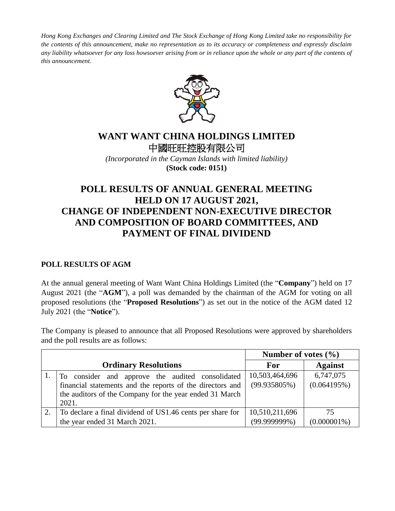*Hong Kong Exchanges and Clearing Limited and The Stock Exchange of Hong Kong Limited take no responsibility for the contents of this announcement, make no representation as to its accuracy or completeness and expressly disclaim*  any liability whatsoever for any loss howsoever arising from or in reliance upon the whole or any part of the contents of *this announcement.*



## **WANT WANT CHINA HOLDINGS LIMITED** 中國旺旺控股有限公司

*(Incorporated in the Cayman Islands with limited liability)* **(Stock code: 0151)**

# **POLL RESULTS OF ANNUAL GENERAL MEETING HELD ON 17 AUGUST 2021, CHANGE OF INDEPENDENT NON-EXECUTIVE DIRECTOR AND COMPOSITION OF BOARD COMMITTEES, AND PAYMENT OF FINAL DIVIDEND**

#### **POLL RESULTS OF AGM**

At the annual general meeting of Want Want China Holdings Limited (the "**Company**") held on 17 August 2021 (the "**AGM**"), a poll was demanded by the chairman of the AGM for voting on all proposed resolutions (the "**Proposed Resolutions**") as set out in the notice of the AGM dated 12 July 2021 (the "**Notice**").

The Company is pleased to announce that all Proposed Resolutions were approved by shareholders and the poll results are as follows:

|                                                           | Number of votes $(\% )$ |                |
|-----------------------------------------------------------|-------------------------|----------------|
| <b>Ordinary Resolutions</b>                               | For                     | <b>Against</b> |
| To consider and approve the audited consolidated          | 10,503,464,696          | 6,747,075      |
| financial statements and the reports of the directors and | $(99.935805\%)$         | (0.064195%)    |
| the auditors of the Company for the year ended 31 March   |                         |                |
| 2021.                                                     |                         |                |
| To declare a final dividend of US1.46 cents per share for | 10,510,211,696          | 75             |
| the year ended 31 March 2021.                             | $(99.999999\%)$         | $(0.000001\%)$ |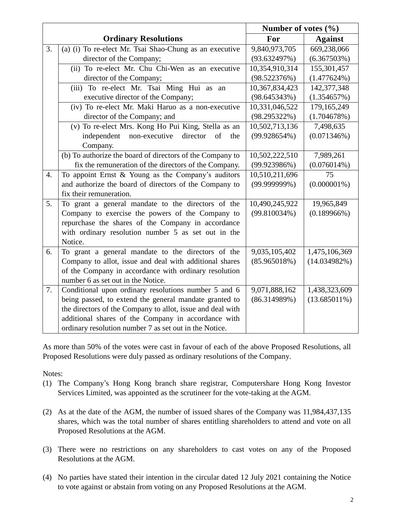|                  |                                                            | Number of votes $(\% )$ |                 |
|------------------|------------------------------------------------------------|-------------------------|-----------------|
|                  | <b>Ordinary Resolutions</b>                                | For                     | <b>Against</b>  |
| 3.               | (a) (i) To re-elect Mr. Tsai Shao-Chung as an executive    | 9,840,973,705           | 669,238,066     |
|                  | director of the Company;                                   | (93.632497%)            | (6.367503%)     |
|                  | (ii) To re-elect Mr. Chu Chi-Wen as an executive           | 10,354,910,314          | 155,301,457     |
|                  | director of the Company;                                   | (98.522376%)            | $(1.477624\%)$  |
|                  | (iii) To re-elect Mr. Tsai Ming Hui as an                  | 10,367,834,423          | 142,377,348     |
|                  | executive director of the Company;                         | (98.645343%)            | (1.354657%)     |
|                  | (iv) To re-elect Mr. Maki Haruo as a non-executive         | 10,331,046,522          | 179,165,249     |
|                  | director of the Company; and                               | $(98.295322\%)$         | (1.704678%)     |
|                  | (v) To re-elect Mrs. Kong Ho Pui King, Stella as an        | 10,502,713,136          | 7,498,635       |
|                  | independent<br>non-executive<br>director<br>of<br>the      | (99.928654%)            | (0.071346%)     |
|                  | Company.                                                   |                         |                 |
|                  | (b) To authorize the board of directors of the Company to  | 10,502,222,510          | 7,989,261       |
|                  | fix the remuneration of the directors of the Company.      | (99.923986%)            | $(0.076014\%)$  |
| $\overline{4}$ . | To appoint Ernst $&$ Young as the Company's auditors       | 10,510,211,696          | 75              |
|                  | and authorize the board of directors of the Company to     | $(99.999999\%)$         | $(0.000001\%)$  |
|                  | fix their remuneration.                                    |                         |                 |
| 5.               | To grant a general mandate to the directors of the         | 10,490,245,922          | 19,965,849      |
|                  | Company to exercise the powers of the Company to           | (99.810034%)            | $(0.189966\%)$  |
|                  | repurchase the shares of the Company in accordance         |                         |                 |
|                  | with ordinary resolution number 5 as set out in the        |                         |                 |
|                  | Notice.                                                    |                         |                 |
| 6.               | To grant a general mandate to the directors of the         | 9,035,105,402           | 1,475,106,369   |
|                  | Company to allot, issue and deal with additional shares    | (85.965018%)            | (14.034982%)    |
|                  | of the Company in accordance with ordinary resolution      |                         |                 |
|                  | number 6 as set out in the Notice.                         |                         |                 |
| 7.               | Conditional upon ordinary resolutions number 5 and 6       | 9,071,888,162           | 1,438,323,609   |
|                  | being passed, to extend the general mandate granted to     | (86.314989%)            | $(13.685011\%)$ |
|                  | the directors of the Company to allot, issue and deal with |                         |                 |
|                  | additional shares of the Company in accordance with        |                         |                 |
|                  | ordinary resolution number 7 as set out in the Notice.     |                         |                 |

As more than 50% of the votes were cast in favour of each of the above Proposed Resolutions, all Proposed Resolutions were duly passed as ordinary resolutions of the Company.

Notes:

- (1) The Company's Hong Kong branch share registrar, Computershare Hong Kong Investor Services Limited, was appointed as the scrutineer for the vote-taking at the AGM.
- (2) As at the date of the AGM, the number of issued shares of the Company was 11,984,437,135 shares, which was the total number of shares entitling shareholders to attend and vote on all Proposed Resolutions at the AGM.
- (3) There were no restrictions on any shareholders to cast votes on any of the Proposed Resolutions at the AGM.
- (4) No parties have stated their intention in the circular dated 12 July 2021 containing the Notice to vote against or abstain from voting on any Proposed Resolutions at the AGM.